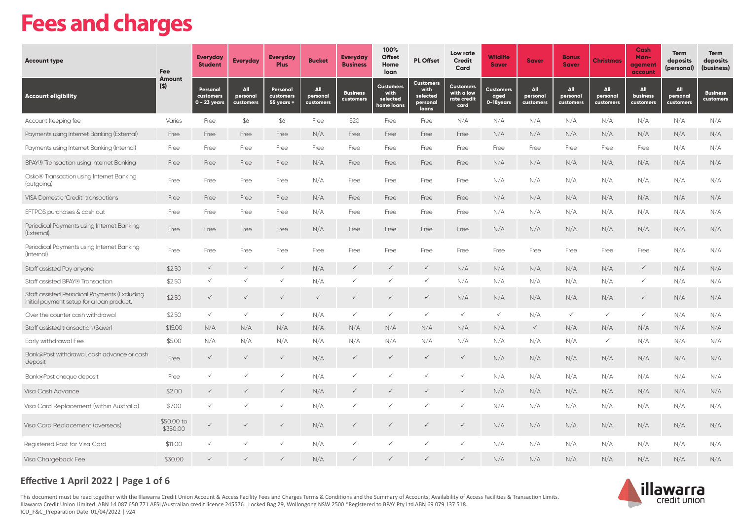# **Fees and charges**

| <b>Account type</b>                                                                        | Fee<br><b>Amount</b>   | <b>Everyday</b><br><b>Student</b>       | <b>Everyday</b>              | <b>Everyday</b><br><b>Plus</b>      | <b>Bucket</b>                       | <b>Everyday</b><br><b>Business</b> | 100%<br><b>Offset</b><br>Home<br>loan              | <b>PL Offset</b>                                          | Low rate<br><b>Credit</b><br>Card                     | <b>Wildlife</b><br><b>Saver</b>       | <b>Saver</b>                        | <b>Bonus</b><br><b>Saver</b>        | <b>Christmas</b>                    | Cash<br>Man-<br>agement<br>account | Term<br>deposits<br>(personal)      | <b>Term</b><br>deposits<br>(business) |
|--------------------------------------------------------------------------------------------|------------------------|-----------------------------------------|------------------------------|-------------------------------------|-------------------------------------|------------------------------------|----------------------------------------------------|-----------------------------------------------------------|-------------------------------------------------------|---------------------------------------|-------------------------------------|-------------------------------------|-------------------------------------|------------------------------------|-------------------------------------|---------------------------------------|
| <b>Account eligibility</b>                                                                 | $($ \$)                | Personal<br>customers<br>$0 - 23$ years | All<br>personal<br>customers | Personal<br>customers<br>55 years + | <b>All</b><br>personal<br>customers | <b>Business</b><br>customers       | <b>Customers</b><br>with<br>selected<br>home loans | <b>Customers</b><br>with<br>selected<br>personal<br>loans | <b>Customers</b><br>with a low<br>rate credit<br>card | <b>Customers</b><br>aged<br>0-18years | <b>All</b><br>personal<br>customers | <b>All</b><br>personal<br>customers | <b>All</b><br>personal<br>customers | All<br>business<br>customers       | <b>All</b><br>personal<br>customers | <b>Business</b><br>customers          |
| Account Keeping fee                                                                        | Varies                 | Free                                    | \$6                          | \$6                                 | Free                                | \$20                               | Free                                               | Free                                                      | N/A                                                   | N/A                                   | N/A                                 | N/A                                 | N/A                                 | N/A                                | N/A                                 | N/A                                   |
| Payments using Internet Banking (External)                                                 | Free                   | Free                                    | Free                         | Free                                | N/A                                 | Free                               | Free                                               | Free                                                      | Free                                                  | N/A                                   | N/A                                 | N/A                                 | N/A                                 | N/A                                | N/A                                 | N/A                                   |
| Payments using Internet Banking (Internal)                                                 | Free                   | Free                                    | Free                         | Free                                | Free                                | Free                               | Free                                               | Free                                                      | Free                                                  | Free                                  | Free                                | Free                                | Free                                | Free                               | N/A                                 | N/A                                   |
| BPAY® Transaction using Internet Banking                                                   | Free                   | Free                                    | Free                         | Free                                | N/A                                 | Free                               | Free                                               | Free                                                      | Free                                                  | N/A                                   | N/A                                 | N/A                                 | N/A                                 | N/A                                | N/A                                 | N/A                                   |
| Osko® Transaction using Internet Banking<br>(outgoing)                                     | Free                   | Free                                    | Free                         | Free                                | N/A                                 | Free                               | Free                                               | Free                                                      | Free                                                  | N/A                                   | N/A                                 | N/A                                 | N/A                                 | N/A                                | N/A                                 | N/A                                   |
| VISA Domestic 'Credit' transactions                                                        | Free                   | Free                                    | Free                         | Free                                | N/A                                 | Free                               | Free                                               | Free                                                      | Free                                                  | N/A                                   | N/A                                 | N/A                                 | N/A                                 | N/A                                | N/A                                 | N/A                                   |
| EFTPOS purchases & cash out                                                                | Free                   | Free                                    | Free                         | Free                                | N/A                                 | Free                               | Free                                               | Free                                                      | Free                                                  | N/A                                   | N/A                                 | N/A                                 | N/A                                 | N/A                                | N/A                                 | N/A                                   |
| Periodical Payments using Internet Banking<br>(External)                                   | Free                   | Free                                    | Free                         | Free                                | N/A                                 | Free                               | Free                                               | Free                                                      | Free                                                  | N/A                                   | N/A                                 | N/A                                 | N/A                                 | N/A                                | N/A                                 | N/A                                   |
| Periodical Payments using Internet Banking<br>(Internal)                                   | Free                   | Free                                    | Free                         | Free                                | Free                                | Free                               | Free                                               | Free                                                      | Free                                                  | Free                                  | Free                                | Free                                | Free                                | Free                               | N/A                                 | N/A                                   |
| Staff assisted Pay anyone                                                                  | \$2.50                 | $\checkmark$                            | $\checkmark$                 | $\checkmark$                        | N/A                                 | $\checkmark$                       | $\checkmark$                                       | $\checkmark$                                              | N/A                                                   | N/A                                   | N/A                                 | N/A                                 | N/A                                 | $\checkmark$                       | N/A                                 | N/A                                   |
| Staff assisted BPAY® Transaction                                                           | \$2.50                 | $\checkmark$                            | $\checkmark$                 | $\checkmark$                        | N/A                                 | $\checkmark$                       |                                                    | $\checkmark$                                              | N/A                                                   | N/A                                   | N/A                                 | N/A                                 | N/A                                 | $\checkmark$                       | N/A                                 | N/A                                   |
| Staff assisted Periodical Payments (Excluding<br>initial payment setup for a loan product. | \$2.50                 | $\checkmark$                            | $\checkmark$                 | $\checkmark$                        | $\checkmark$                        | $\checkmark$                       | $\checkmark$                                       | $\checkmark$                                              | N/A                                                   | N/A                                   | N/A                                 | N/A                                 | N/A                                 | $\checkmark$                       | N/A                                 | N/A                                   |
| Over the counter cash withdrawal                                                           | \$2.50                 | $\checkmark$                            | $\checkmark$                 | $\checkmark$                        | N/A                                 | $\checkmark$                       | $\checkmark$                                       | $\checkmark$                                              | $\checkmark$                                          | $\checkmark$                          | N/A                                 | $\checkmark$                        | $\checkmark$                        | $\checkmark$                       | N/A                                 | N/A                                   |
| Staff assisted transaction (Saver)                                                         | \$15.00                | N/A                                     | N/A                          | N/A                                 | N/A                                 | N/A                                | N/A                                                | N/A                                                       | N/A                                                   | N/A                                   | $\checkmark$                        | N/A                                 | N/A                                 | N/A                                | N/A                                 | N/A                                   |
| Early withdrawal Fee                                                                       | \$5.00                 | N/A                                     | N/A                          | N/A                                 | N/A                                 | N/A                                | N/A                                                | N/A                                                       | N/A                                                   | N/A                                   | N/A                                 | N/A                                 | $\checkmark$                        | N/A                                | N/A                                 | N/A                                   |
| Bank@Post withdrawal, cash advance or cash<br>deposit                                      | Free                   | $\checkmark$                            | $\checkmark$                 | $\checkmark$                        | N/A                                 | $\checkmark$                       | $\checkmark$                                       | $\checkmark$                                              | $\checkmark$                                          | N/A                                   | N/A                                 | N/A                                 | N/A                                 | N/A                                | N/A                                 | N/A                                   |
| Bank@Post cheque deposit                                                                   | Free                   | $\checkmark$                            |                              | ✓                                   | N/A                                 | $\checkmark$                       |                                                    | $\checkmark$                                              | ✓                                                     | N/A                                   | N/A                                 | N/A                                 | N/A                                 | N/A                                | N/A                                 | N/A                                   |
| Visa Cash Advance                                                                          | \$2.00                 | $\checkmark$                            |                              | $\checkmark$                        | N/A                                 | $\checkmark$                       |                                                    | $\checkmark$                                              | $\checkmark$                                          | N/A                                   | N/A                                 | N/A                                 | N/A                                 | N/A                                | N/A                                 | N/A                                   |
| Visa Card Replacement (within Australia)                                                   | \$7.00                 | $\checkmark$                            |                              | $\checkmark$                        | N/A                                 | $\checkmark$                       |                                                    | $\checkmark$                                              | ✓                                                     | N/A                                   | N/A                                 | N/A                                 | N/A                                 | N/A                                | N/A                                 | N/A                                   |
| Visa Card Replacement (overseas)                                                           | \$50.00 to<br>\$350.00 | $\checkmark$                            | $\checkmark$                 | $\checkmark$                        | N/A                                 | $\checkmark$                       | $\checkmark$                                       | $\checkmark$                                              | $\checkmark$                                          | N/A                                   | N/A                                 | N/A                                 | N/A                                 | N/A                                | N/A                                 | N/A                                   |
| Registered Post for Visa Card                                                              | \$11.00                | $\checkmark$                            |                              | ✓                                   | N/A                                 | $\checkmark$                       |                                                    |                                                           | $\checkmark$                                          | N/A                                   | N/A                                 | N/A                                 | N/A                                 | N/A                                | N/A                                 | N/A                                   |
| Visa Chargeback Fee                                                                        | \$30.00                | $\checkmark$                            |                              | $\checkmark$                        | N/A                                 | $\checkmark$                       | $\checkmark$                                       | $\checkmark$                                              | $\checkmark$                                          | N/A                                   | N/A                                 | N/A                                 | N/A                                 | N/A                                | N/A                                 | N/A                                   |

# **Effective 1 April 2022 | Page 1 of 6**

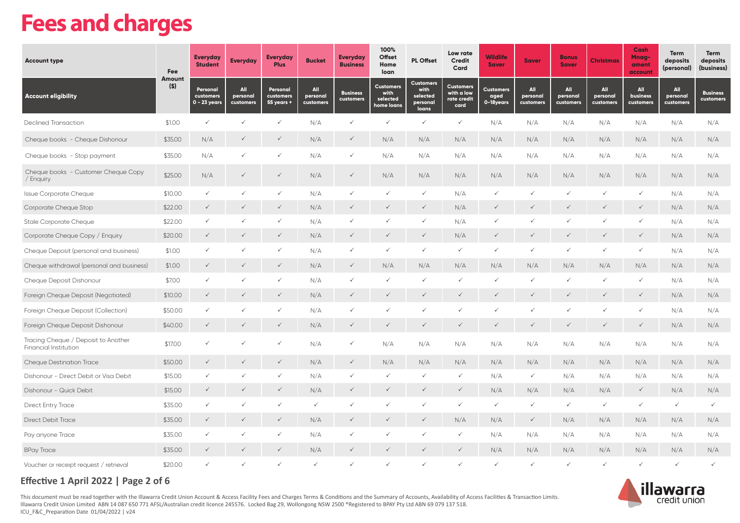# **Fees and charges**

| <b>Account type</b>                                          | Fee<br>Amount | <b>Everyday</b><br><b>Student</b>     | <b>Everyday</b>              | <b>Everyday</b><br><b>Plus</b>      | <b>Bucket</b>                | <b>Everyday</b><br><b>Business</b> | 100%<br><b>Offset</b><br>Home<br>loan              | <b>PL Offset</b>                                          | Low rate<br><b>Credit</b><br>Card                     | <b>Wildlife</b><br><b>Saver</b>       | <b>Saver</b>                 | <b>Bonus</b><br><b>Saver</b> | <b>Christmas</b>             | <b>Cash</b><br>Mnag-<br>ament<br>account | <b>Term</b><br>deposits<br>(personal) | <b>Term</b><br>deposits<br>(business) |
|--------------------------------------------------------------|---------------|---------------------------------------|------------------------------|-------------------------------------|------------------------------|------------------------------------|----------------------------------------------------|-----------------------------------------------------------|-------------------------------------------------------|---------------------------------------|------------------------------|------------------------------|------------------------------|------------------------------------------|---------------------------------------|---------------------------------------|
| <b>Account eligibility</b>                                   | $($ \$)       | Personal<br>customers<br>0 - 23 years | All<br>personal<br>customers | Personal<br>customers<br>55 years + | All<br>personal<br>customers | <b>Business</b><br>customers       | <b>Customers</b><br>with<br>selected<br>home loans | <b>Customers</b><br>with<br>selected<br>personal<br>loans | <b>Customers</b><br>with a low<br>rate credit<br>card | <b>Customers</b><br>aged<br>0-18years | All<br>personal<br>customers | All<br>personal<br>customers | All<br>personal<br>customers | All<br><b>business</b><br>customers      | All<br>personal<br>customers          | <b>Business</b><br>customers          |
| <b>Declined Transaction</b>                                  | \$1.00        | $\checkmark$                          |                              | ✓                                   | N/A                          | $\checkmark$                       | $\checkmark$                                       | $\checkmark$                                              | $\checkmark$                                          | N/A                                   | N/A                          | N/A                          | N/A                          | N/A                                      | N/A                                   | N/A                                   |
| Cheque books - Cheque Dishonour                              | \$35.00       | N/A                                   | $\checkmark$                 | $\checkmark$                        | N/A                          | $\checkmark$                       | N/A                                                | N/A                                                       | N/A                                                   | $\rm N/A$                             | N/A                          | N/A                          | N/A                          | N/A                                      | N/A                                   | N/A                                   |
| Cheque books - Stop payment                                  | \$35.00       | N/A                                   | ✓                            | ✓                                   | N/A                          | $\checkmark$                       | N/A                                                | N/A                                                       | N/A                                                   | N/A                                   | N/A                          | N/A                          | N/A                          | N/A                                      | N/A                                   | N/A                                   |
| Cheque books - Customer Cheque Copy<br>/ Enquiry             | \$25.00       | N/A                                   | $\checkmark$                 | $\checkmark$                        | N/A                          | $\checkmark$                       | N/A                                                | N/A                                                       | N/A                                                   | N/A                                   | N/A                          | N/A                          | N/A                          | N/A                                      | N/A                                   | N/A                                   |
| Issue Corporate Cheque                                       | \$10.00       | $\checkmark$                          | $\checkmark$                 | ✓                                   | N/A                          | $\checkmark$                       | $\checkmark$                                       | $\checkmark$                                              | N/A                                                   | ✓                                     | $\checkmark$                 | $\checkmark$                 | $\checkmark$                 | $\checkmark$                             | N/A                                   | N/A                                   |
| Corporate Cheque Stop                                        | \$22.00       | $\checkmark$                          | $\checkmark$                 | $\checkmark$                        | N/A                          | $\checkmark$                       | ✓                                                  | $\checkmark$                                              | N/A                                                   | $\checkmark$                          | $\checkmark$                 | $\checkmark$                 | $\checkmark$                 | $\checkmark$                             | N/A                                   | N/A                                   |
| Stale Corporate Cheque                                       | \$22.00       | $\checkmark$                          | $\checkmark$                 | $\checkmark$                        | N/A                          |                                    | ✓                                                  | $\checkmark$                                              | N/A                                                   | $\checkmark$                          | $\checkmark$                 |                              | $\checkmark$                 | $\checkmark$                             | N/A                                   | N/A                                   |
| Corporate Cheque Copy / Enquiry                              | \$20.00       | $\checkmark$                          |                              | $\checkmark$                        | N/A                          | $\checkmark$                       | $\checkmark$                                       | $\checkmark$                                              | N/A                                                   | $\checkmark$                          | $\checkmark$                 |                              |                              | $\checkmark$                             | N/A                                   | N/A                                   |
| Cheque Deposit (personal and business)                       | \$1.00        | $\checkmark$                          | ✓                            | ✓                                   | N/A                          |                                    | $\checkmark$                                       | $\checkmark$                                              | $\checkmark$                                          | $\checkmark$                          | $\checkmark$                 | $\checkmark$                 | $\checkmark$                 | $\checkmark$                             | N/A                                   | N/A                                   |
| Cheque withdrawal (personal and business)                    | \$1.00        | $\checkmark$                          | $\checkmark$                 | $\checkmark$                        | N/A                          | $\checkmark$                       | N/A                                                | N/A                                                       | N/A                                                   | N/A                                   | N/A                          | N/A                          | N/A                          | N/A                                      | N/A                                   | N/A                                   |
| Cheque Deposit Dishonour                                     | \$7.00        | $\checkmark$                          | ✓                            | $\checkmark$                        | N/A                          | $\checkmark$                       | ✓                                                  | $\checkmark$                                              | $\checkmark$                                          | $\checkmark$                          | $\checkmark$                 | $\checkmark$                 | $\checkmark$                 | $\checkmark$                             | N/A                                   | N/A                                   |
| Foreign Cheque Deposit (Negotiated)                          | \$10.00       | $\checkmark$                          | $\checkmark$                 | $\checkmark$                        | N/A                          | $\checkmark$                       | $\checkmark$                                       | $\checkmark$                                              | $\checkmark$                                          | $\checkmark$                          | $\checkmark$                 | $\checkmark$                 | $\checkmark$                 | $\checkmark$                             | N/A                                   | N/A                                   |
| Foreign Cheque Deposit (Collection)                          | \$50.00       | $\checkmark$                          | ✓                            | ✓                                   | N/A                          |                                    | ✓                                                  | $\checkmark$                                              | $\checkmark$                                          | ✓                                     | $\checkmark$                 |                              | $\checkmark$                 | ✓                                        | N/A                                   | N/A                                   |
| Foreign Cheque Deposit Dishonour                             | \$40.00       | $\checkmark$                          |                              |                                     | N/A                          |                                    |                                                    | $\checkmark$                                              | $\checkmark$                                          | ✓                                     | $\checkmark$                 |                              |                              | $\checkmark$                             | N/A                                   | N/A                                   |
| Tracing Cheque / Deposit to Another<br>Financial Institution | \$17.00       | $\checkmark$                          | ✓                            | ✓                                   | N/A                          | ✓                                  | N/A                                                | N/A                                                       | N/A                                                   | N/A                                   | N/A                          | N/A                          | N/A                          | N/A                                      | N/A                                   | N/A                                   |
| <b>Cheque Destination Trace</b>                              | \$50.00       | $\checkmark$                          | $\checkmark$                 | $\checkmark$                        | N/A                          | $\checkmark$                       | N/A                                                | N/A                                                       | N/A                                                   | N/A                                   | N/A                          | N/A                          | N/A                          | N/A                                      | N/A                                   | N/A                                   |
| Dishonour - Direct Debit or Visa Debit                       | \$15.00       | $\checkmark$                          | ✓                            | $\checkmark$                        | N/A                          |                                    | ✓                                                  | $\checkmark$                                              | $\checkmark$                                          | N/A                                   | $\checkmark$                 | N/A                          | N/A                          | N/A                                      | N/A                                   | N/A                                   |
| Dishonour - Quick Debit                                      | \$15.00       | $\checkmark$                          | $\checkmark$                 | $\checkmark$                        | N/A                          | $\checkmark$                       | $\checkmark$                                       | $\checkmark$                                              | $\checkmark$                                          | N/A                                   | N/A                          | N/A                          | N/A                          | $\checkmark$                             | N/A                                   | N/A                                   |
| Direct Entry Trace                                           | \$35.00       | $\checkmark$                          | ✓                            | $\checkmark$                        | $\checkmark$                 |                                    | ✓                                                  | $\checkmark$                                              | $\checkmark$                                          | $\checkmark$                          | $\checkmark$                 | $\checkmark$                 | $\checkmark$                 | $\checkmark$                             | $\checkmark$                          | $\checkmark$                          |
| <b>Direct Debit Trace</b>                                    | \$35.00       | $\checkmark$                          | $\checkmark$                 | $\checkmark$                        | N/A                          | $\checkmark$                       | $\checkmark$                                       | $\checkmark$                                              | N/A                                                   | N/A                                   | $\checkmark$                 | N/A                          | N/A                          | N/A                                      | N/A                                   | N/A                                   |
| Pay anyone Trace                                             | \$35.00       | $\checkmark$                          | $\checkmark$                 | ✓                                   | N/A                          |                                    | ✓                                                  | $\checkmark$                                              | $\checkmark$                                          | N/A                                   | N/A                          | N/A                          | N/A                          | N/A                                      | N/A                                   | N/A                                   |
| <b>BPay Trace</b>                                            | \$35.00       | $\checkmark$                          |                              |                                     | N/A                          |                                    |                                                    |                                                           | $\checkmark$                                          | N/A                                   | N/A                          | N/A                          | N/A                          | N/A                                      | N/A                                   | N/A                                   |
| Voucher or receipt request / retrieval                       | \$20.00       |                                       |                              | ✓                                   | $\checkmark$                 |                                    | ✓                                                  | $\checkmark$                                              | $\checkmark$                                          | $\checkmark$                          | $\checkmark$                 | $\checkmark$                 | $\checkmark$                 | $\checkmark$                             | $\checkmark$                          | $\checkmark$                          |

# **Effective 1 April 2022 | Page 2 of 6**

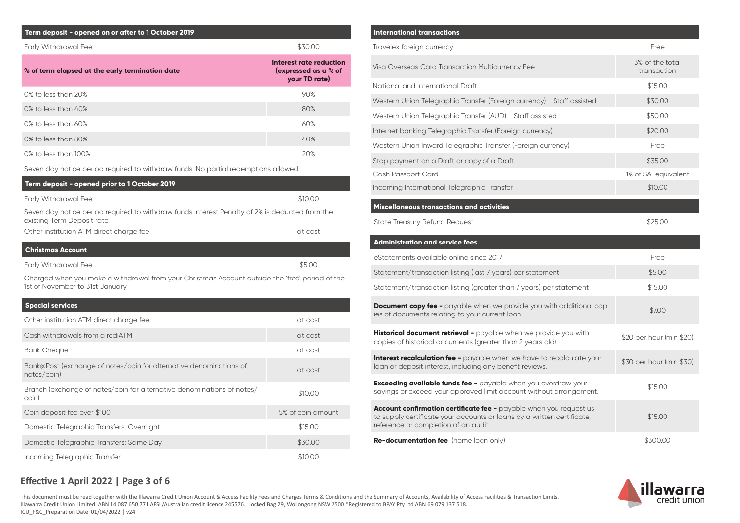| Term deposit - opened on or after to 1 October 2019 |                                                                  |
|-----------------------------------------------------|------------------------------------------------------------------|
| Early Withdrawal Fee                                | \$30.00                                                          |
| % of term elapsed at the early termination date     | Interest rate reduction<br>(expressed as a % of<br>your TD rate) |
| $0\%$ to less than $20\%$                           | 90%                                                              |
| 0% to less than 40%                                 | 80%                                                              |
| $0\%$ to less than 60%                              | 60%                                                              |
| 0% to less than 80%                                 | 40%                                                              |
| $0\%$ to less than $100\%$                          | 20%                                                              |

Seven day notice period required to withdraw funds. No partial redemptions allowed.

| Term deposit - opened prior to 1 October 2019                                                                                      |         |  |  |  |  |  |
|------------------------------------------------------------------------------------------------------------------------------------|---------|--|--|--|--|--|
| Early Withdrawal Fee                                                                                                               | \$10.00 |  |  |  |  |  |
| Seven day notice period required to withdraw funds Interest Penalty of 2% is deducted from the<br>existing Term Deposit rate.      |         |  |  |  |  |  |
| Other institution ATM direct charge fee                                                                                            | at cost |  |  |  |  |  |
| <b>Christmas Account</b>                                                                                                           |         |  |  |  |  |  |
| Early Withdrawal Fee                                                                                                               | \$5.00  |  |  |  |  |  |
| Charged when you make a withdrawal from your Christmas Account outside the 'free' period of the<br>1st of November to 31st January |         |  |  |  |  |  |
| <b>Special services</b>                                                                                                            |         |  |  |  |  |  |
| Other institution ATM direct charge fee                                                                                            | at cost |  |  |  |  |  |
| Cash withdrawals from a rediATM                                                                                                    | at cost |  |  |  |  |  |

| <b>Bank Cheque</b>                                                                | at cost           |
|-----------------------------------------------------------------------------------|-------------------|
| Bank@Post (exchange of notes/coin for alternative denominations of<br>notes/coin) | at cost           |
| Branch (exchange of notes/coin for alternative denominations of notes/<br>coin)   | \$10.00           |
| Coin deposit fee over \$100                                                       | 5% of coin amount |
| Domestic Telegraphic Transfers: Overnight                                         | \$15.00           |
| Domestic Telegraphic Transfers: Same Day                                          | \$30.00           |
| Incoming Telegraphic Transfer                                                     | \$10.00           |

| <b>International transactions</b>                                                                                                                                                   |                                |
|-------------------------------------------------------------------------------------------------------------------------------------------------------------------------------------|--------------------------------|
| Travelex foreign currency                                                                                                                                                           | Free                           |
| Visa Overseas Card Transaction Multicurrency Fee                                                                                                                                    | 3% of the total<br>transaction |
| National and International Draft                                                                                                                                                    | \$15.00                        |
| Western Union Telegraphic Transfer (Foreign currency) - Staff assisted                                                                                                              | \$30.00                        |
| Western Union Telegraphic Transfer (AUD) - Staff assisted                                                                                                                           | \$50.00                        |
| Internet banking Telegraphic Transfer (Foreign currency)                                                                                                                            | \$20.00                        |
| Western Union Inward Telegraphic Transfer (Foreign currency)                                                                                                                        | Free                           |
| Stop payment on a Draft or copy of a Draft                                                                                                                                          | \$35.00                        |
| Cash Passport Card                                                                                                                                                                  | 1% of \$A equivalent           |
| Incoming International Telegraphic Transfer                                                                                                                                         | \$10.00                        |
| Miscellaneous transactions and activities                                                                                                                                           |                                |
| <b>State Treasury Refund Request</b>                                                                                                                                                | \$25.00                        |
| <b>Administration and service fees</b>                                                                                                                                              |                                |
| eStatements available online since 2017                                                                                                                                             | Free                           |
| Statement/transaction listing (last 7 years) per statement                                                                                                                          | \$5.00                         |
| Statement/transaction listing (greater than 7 years) per statement                                                                                                                  | \$15.00                        |
| <b>Document copy fee -</b> payable when we provide you with additional cop-<br>ies of documents relating to your current loan.                                                      | \$7.00                         |
| Historical document retrieval - payable when we provide you with<br>copies of historical documents (greater than 2 years old)                                                       | \$20 per hour (min \$20)       |
| <b>Interest recalculation fee -</b> payable when we have to recalculate your<br>loan or deposit interest, including any benefit reviews.                                            | \$30 per hour (min \$30)       |
| <b>Exceeding available funds fee -</b> payable when you overdraw your<br>savings or exceed your approved limit account without arrangement.                                         | \$15.00                        |
|                                                                                                                                                                                     |                                |
| Account confirmation certificate fee - payable when you request us<br>to supply certificate your accounts or loans by a written certificate,<br>reference or completion of an audit | \$15.00                        |

**Re-documentation fee** (home loan only) \$300.00



# **Effective 1 April 2022 | Page 3 of 6**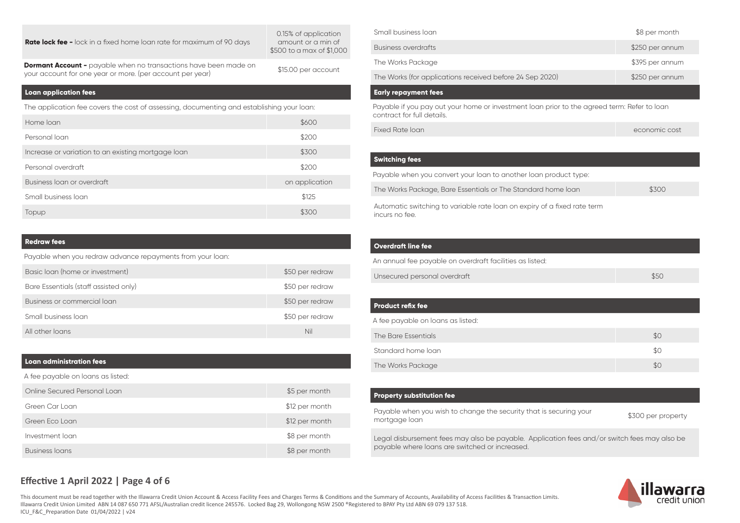#### **Rate lock fee -** lock in a fixed home loan rate for maximum of 90 days

0.15% of application amount or a min of  $$500$  to a max of  $$1000$ 

**Dormant Account -** payable when no transactions have been made on **Dormant Account -** payable when no transactions nave been made on \$15.00 per account your account for one year or more. (per account per year)

#### **Loan application fees**

The application fee covers the cost of assessing, documenting and establishing your loan:

| Home loan                                          | \$600          |
|----------------------------------------------------|----------------|
| Personal loan                                      | \$200          |
| Increase or variation to an existing mortgage loan | \$300          |
| Personal overdraft                                 | \$200          |
| Business loan or overdraft                         | on application |
| Small business loan                                | \$125          |
| Topup                                              | \$300          |

### **Redraw fees**

Payable when you redraw advance repayments from your loan:

| Basic loan (home or investment)       | \$50 per redraw |
|---------------------------------------|-----------------|
| Bare Essentials (staff assisted only) | \$50 per redraw |
| Business or commercial loan           | \$50 per redraw |
| Small business loan                   | \$50 per redraw |
| All other loans                       | Nil             |

#### **Loan administration fees**

A fee payable on loans as listed:

| Online Secured Personal Loan | \$5 per month  |
|------------------------------|----------------|
| Green Car Loan               | \$12 per month |
| Green Eco Loan               | \$12 per month |
| Investment loan              | \$8 per month  |
| <b>Business loans</b>        | \$8 per month  |

| Small business loan                                                                         | \$8 per month   |  |  |  |
|---------------------------------------------------------------------------------------------|-----------------|--|--|--|
| Business overdrafts                                                                         | \$250 per annum |  |  |  |
| The Works Package                                                                           | \$395 per annum |  |  |  |
| The Works (for applications received before 24 Sep 2020)                                    | \$250 per annum |  |  |  |
| <b>Early repayment fees</b>                                                                 |                 |  |  |  |
| Payable if you pay out your home or investment loan prior to the agreed term: Refer to loan |                 |  |  |  |

contract for full details.

Fixed Rate loan economic cost

#### **Switching fees**

Payable when you convert your loan to another loan product type: The Works Package, Bare Essentials or The Standard home loan \$300 Automatic switching to variable rate loan on expiry of a fixed rate term incurs no fee.

#### **Overdraft line fee**

An annual fee payable on overdraft facilities as listed:

| Unsecured personal overdraft |  |
|------------------------------|--|
|                              |  |

| Product refix fee                 |     |
|-----------------------------------|-----|
| A fee payable on loans as listed: |     |
| The Bare Essentials               | \$0 |
| Standard home loan                | \$0 |
| The Works Package                 | \$0 |
|                                   |     |

#### **Property substitution fee**

Payable when you wish to change the security that is securing your Payable when you wish to change the security that is securing your \$300 per property<br>mortgage loan

Legal disbursement fees may also be payable. Application fees and/or switch fees may also be payable where loans are switched or increased.



# **Effective 1 April 2022 | Page 4 of 6**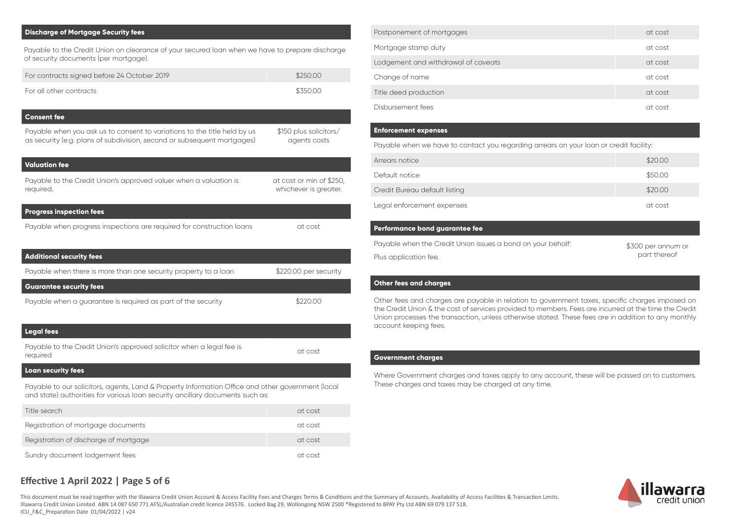#### **Discharge of Mortgage Security fees**

| Payable to the Credit Union on clearance of your secured loan when we have to prepare discharge<br>of security documents (per mortgage).            |                                                   |  |
|-----------------------------------------------------------------------------------------------------------------------------------------------------|---------------------------------------------------|--|
| For contracts signed before 24 October 2019                                                                                                         | \$250.00                                          |  |
| For all other contracts                                                                                                                             | \$350.00                                          |  |
| <b>Consent fee</b>                                                                                                                                  |                                                   |  |
| Payable when you ask us to consent to variations to the title held by us<br>as security (e.g. plans of subdivision, second or subsequent mortgages) | \$150 plus solicitors/<br>agents costs            |  |
| <b>Valuation fee</b>                                                                                                                                |                                                   |  |
| Payable to the Credit Union's approved valuer when a valuation is<br>required.                                                                      | at cost or min of \$250,<br>whichever is greater. |  |
| <b>Progress inspection fees</b>                                                                                                                     |                                                   |  |
| Payable when progress inspections are required for construction loans                                                                               | at cost                                           |  |
| <b>Additional security fees</b>                                                                                                                     |                                                   |  |
| Payable when there is more than one security property to a loan                                                                                     | \$220.00 per security                             |  |
| <b>Guarantee security fees</b>                                                                                                                      |                                                   |  |
| Payable when a guarantee is required as part of the security                                                                                        | \$220.00                                          |  |

#### **Legal fees**

Payable to the Credit Union's approved solicitor when a legal fee is at cost<br>required

#### **Loan security fees**

Payable to our solicitors, agents, Land & Property Information Office and other government (local and state) authorities for various loan security ancillary documents such as:

| Title search                          | at cost |
|---------------------------------------|---------|
| Registration of mortgage documents    | at cost |
| Registration of discharge of mortgage | at cost |
| Sundry document lodgement fees        | at cost |

| Postponement of mortgages           | at cost |
|-------------------------------------|---------|
| Mortgage stamp duty                 | at cost |
| Lodgement and withdrawal of caveats | at cost |
| Change of name                      | at cost |
| Title deed production               | at cost |
| Disbursement fees                   | at cost |

#### **Enforcement expenses**

Payable when we have to contact you regarding arrears on your loan or credit facility:

| Arrears notice                | \$20.00 |
|-------------------------------|---------|
| Default notice                | \$50.00 |
| Credit Bureau default listing | \$20.00 |
| Legal enforcement expenses    | at cost |

#### **Performance bond guarantee fee**

Payable when the Credit Union issues a bond on your behalf: Plus application fee.

\$300 per annum or part thereof

#### **Other fees and charges**

Other fees and charges are payable in relation to government taxes, specific charges imposed on the Credit Union & the cost of services provided to members. Fees are incurred at the time the Credit Union processes the transaction, unless otherwise stated. These fees are in addition to any monthly account keeping fees.

#### **Government charges**

Where Government charges and taxes apply to any account, these will be passed on to customers. These charges and taxes may be charged at any time.



## **Effective 1 April 2022 | Page 5 of 6**